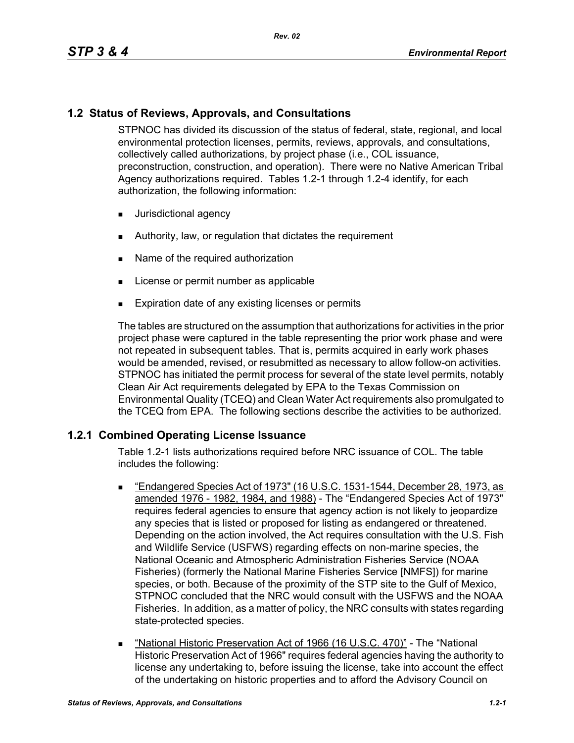# **1.2 Status of Reviews, Approvals, and Consultations**

STPNOC has divided its discussion of the status of federal, state, regional, and local environmental protection licenses, permits, reviews, approvals, and consultations, collectively called authorizations, by project phase (i.e., COL issuance, preconstruction, construction, and operation). There were no Native American Tribal Agency authorizations required. Tables 1.2-1 through 1.2-4 identify, for each authorization, the following information:

- **Jurisdictional agency**
- Authority, law, or regulation that dictates the requirement
- Name of the required authorization
- **License or permit number as applicable**
- **Expiration date of any existing licenses or permits**

The tables are structured on the assumption that authorizations for activities in the prior project phase were captured in the table representing the prior work phase and were not repeated in subsequent tables. That is, permits acquired in early work phases would be amended, revised, or resubmitted as necessary to allow follow-on activities. STPNOC has initiated the permit process for several of the state level permits, notably Clean Air Act requirements delegated by EPA to the Texas Commission on Environmental Quality (TCEQ) and Clean Water Act requirements also promulgated to the TCEQ from EPA. The following sections describe the activities to be authorized.

# **1.2.1 Combined Operating License Issuance**

Table 1.2-1 lists authorizations required before NRC issuance of COL. The table includes the following:

- "Endangered Species Act of 1973" (16 U.S.C. 1531-1544, December 28, 1973, as amended 1976 - 1982, 1984, and 1988) - The "Endangered Species Act of 1973" requires federal agencies to ensure that agency action is not likely to jeopardize any species that is listed or proposed for listing as endangered or threatened. Depending on the action involved, the Act requires consultation with the U.S. Fish and Wildlife Service (USFWS) regarding effects on non-marine species, the National Oceanic and Atmospheric Administration Fisheries Service (NOAA Fisheries) (formerly the National Marine Fisheries Service [NMFS]) for marine species, or both. Because of the proximity of the STP site to the Gulf of Mexico, STPNOC concluded that the NRC would consult with the USFWS and the NOAA Fisheries. In addition, as a matter of policy, the NRC consults with states regarding state-protected species.
- "National Historic Preservation Act of 1966 (16 U.S.C. 470)" The "National Historic Preservation Act of 1966" requires federal agencies having the authority to license any undertaking to, before issuing the license, take into account the effect of the undertaking on historic properties and to afford the Advisory Council on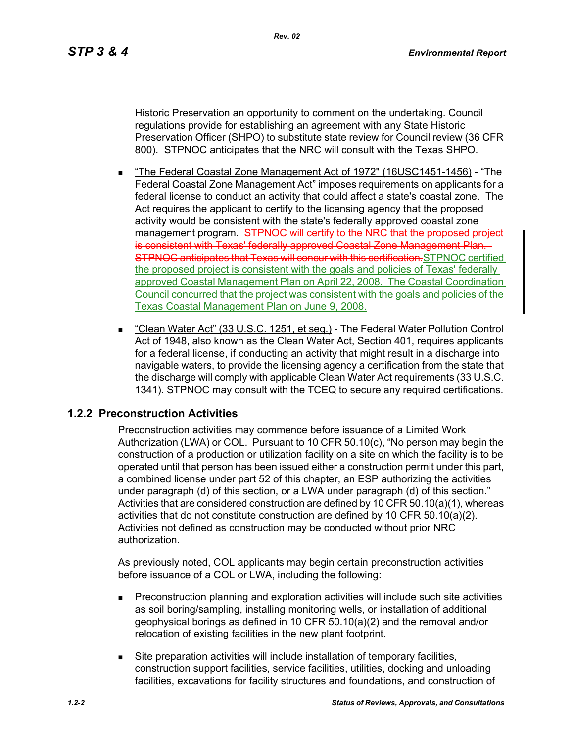Historic Preservation an opportunity to comment on the undertaking. Council regulations provide for establishing an agreement with any State Historic Preservation Officer (SHPO) to substitute state review for Council review (36 CFR 800). STPNOC anticipates that the NRC will consult with the Texas SHPO.

- "The Federal Coastal Zone Management Act of 1972" (16USC1451-1456) "The Federal Coastal Zone Management Act" imposes requirements on applicants for a federal license to conduct an activity that could affect a state's coastal zone. The Act requires the applicant to certify to the licensing agency that the proposed activity would be consistent with the state's federally approved coastal zone management program. STPNOC will certify to the NRC that the proposed projectis consistent with Texas' federally approved Coastal Zone Management Plan. STPNOC anticipates that Texas will concur with this certification. STPNOC certified the proposed project is consistent with the goals and policies of Texas' federally approved Coastal Management Plan on April 22, 2008. The Coastal Coordination Council concurred that the project was consistent with the goals and policies of the Texas Coastal Management Plan on June 9, 2008.
- "Clean Water Act" (33 U.S.C. 1251, et seq.) The Federal Water Pollution Control Act of 1948, also known as the Clean Water Act, Section 401, requires applicants for a federal license, if conducting an activity that might result in a discharge into navigable waters, to provide the licensing agency a certification from the state that the discharge will comply with applicable Clean Water Act requirements (33 U.S.C. 1341). STPNOC may consult with the TCEQ to secure any required certifications.

### **1.2.2 Preconstruction Activities**

Preconstruction activities may commence before issuance of a Limited Work Authorization (LWA) or COL. Pursuant to 10 CFR 50.10(c), "No person may begin the construction of a production or utilization facility on a site on which the facility is to be operated until that person has been issued either a construction permit under this part, a combined license under part 52 of this chapter, an ESP authorizing the activities under paragraph (d) of this section, or a LWA under paragraph (d) of this section." Activities that are considered construction are defined by 10 CFR 50.10(a)(1), whereas activities that do not constitute construction are defined by 10 CFR 50.10(a)(2). Activities not defined as construction may be conducted without prior NRC authorization.

As previously noted, COL applicants may begin certain preconstruction activities before issuance of a COL or LWA, including the following:

- **Preconstruction planning and exploration activities will include such site activities** as soil boring/sampling, installing monitoring wells, or installation of additional geophysical borings as defined in 10 CFR 50.10(a)(2) and the removal and/or relocation of existing facilities in the new plant footprint.
- Site preparation activities will include installation of temporary facilities, construction support facilities, service facilities, utilities, docking and unloading facilities, excavations for facility structures and foundations, and construction of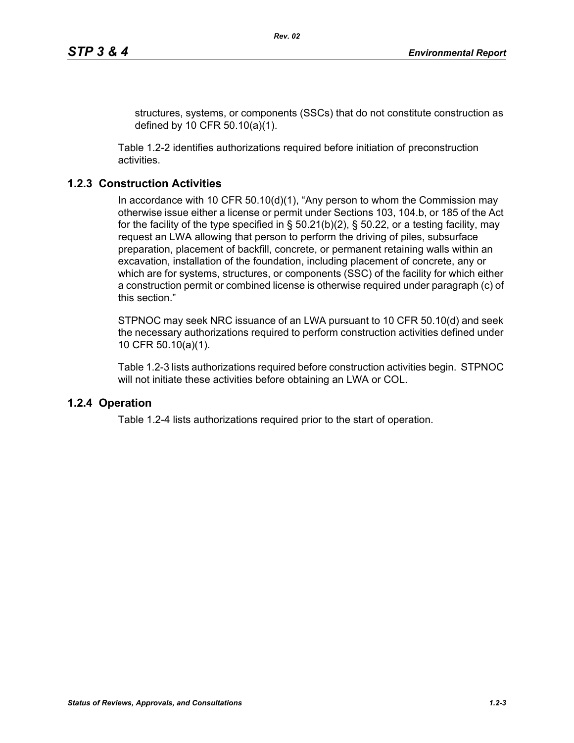structures, systems, or components (SSCs) that do not constitute construction as defined by 10 CFR 50.10(a)(1).

Table 1.2-2 identifies authorizations required before initiation of preconstruction activities.

# **1.2.3 Construction Activities**

In accordance with 10 CFR 50.10(d)(1), "Any person to whom the Commission may otherwise issue either a license or permit under Sections 103, 104.b, or 185 of the Act for the facility of the type specified in  $\S$  50.21(b)(2),  $\S$  50.22, or a testing facility, may request an LWA allowing that person to perform the driving of piles, subsurface preparation, placement of backfill, concrete, or permanent retaining walls within an excavation, installation of the foundation, including placement of concrete, any or which are for systems, structures, or components (SSC) of the facility for which either a construction permit or combined license is otherwise required under paragraph (c) of this section."

STPNOC may seek NRC issuance of an LWA pursuant to 10 CFR 50.10(d) and seek the necessary authorizations required to perform construction activities defined under 10 CFR 50.10(a)(1).

Table 1.2-3 lists authorizations required before construction activities begin. STPNOC will not initiate these activities before obtaining an LWA or COL.

# **1.2.4 Operation**

Table 1.2-4 lists authorizations required prior to the start of operation.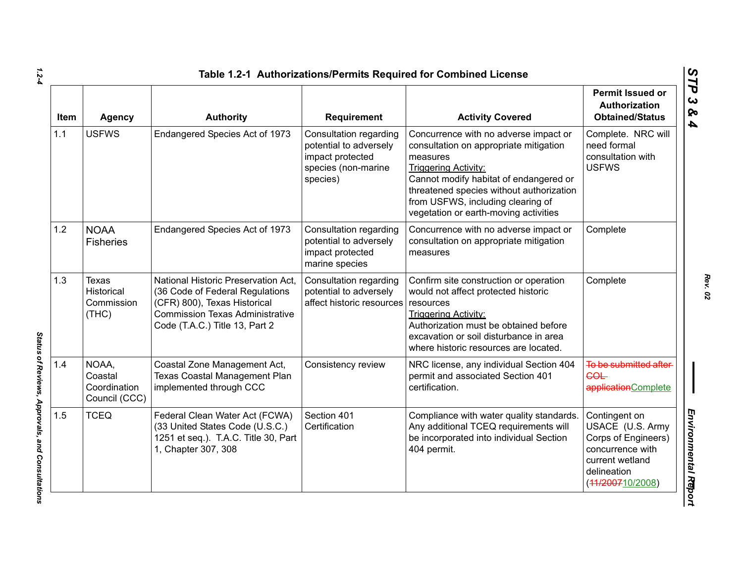| <b>Item</b> | <b>Agency</b>                                     | <b>Authority</b>                                                                                                                                                                   | Requirement                                                                                             | <b>Activity Covered</b>                                                                                                                                                                                                                                                                        | <b>Permit Issued or</b><br>Authorization<br><b>Obtained/Status</b>                                                                 |
|-------------|---------------------------------------------------|------------------------------------------------------------------------------------------------------------------------------------------------------------------------------------|---------------------------------------------------------------------------------------------------------|------------------------------------------------------------------------------------------------------------------------------------------------------------------------------------------------------------------------------------------------------------------------------------------------|------------------------------------------------------------------------------------------------------------------------------------|
| 1.1         | <b>USFWS</b>                                      | Endangered Species Act of 1973                                                                                                                                                     | Consultation regarding<br>potential to adversely<br>impact protected<br>species (non-marine<br>species) | Concurrence with no adverse impact or<br>consultation on appropriate mitigation<br>measures<br><b>Triggering Activity:</b><br>Cannot modify habitat of endangered or<br>threatened species without authorization<br>from USFWS, including clearing of<br>vegetation or earth-moving activities | Complete. NRC will<br>need formal<br>consultation with<br><b>USFWS</b>                                                             |
| 1.2         | <b>NOAA</b><br><b>Fisheries</b>                   | Endangered Species Act of 1973                                                                                                                                                     | Consultation regarding<br>potential to adversely<br>impact protected<br>marine species                  | Concurrence with no adverse impact or<br>consultation on appropriate mitigation<br>measures                                                                                                                                                                                                    | Complete                                                                                                                           |
| 1.3         | <b>Texas</b><br>Historical<br>Commission<br>(THC) | National Historic Preservation Act,<br>(36 Code of Federal Regulations<br>(CFR) 800), Texas Historical<br><b>Commission Texas Administrative</b><br>Code (T.A.C.) Title 13, Part 2 | Consultation regarding<br>potential to adversely<br>affect historic resources                           | Confirm site construction or operation<br>would not affect protected historic<br>resources<br><b>Triggering Activity:</b><br>Authorization must be obtained before<br>excavation or soil disturbance in area<br>where historic resources are located.                                          | Complete                                                                                                                           |
| 1.4         | NOAA,<br>Coastal<br>Coordination<br>Council (CCC) | Coastal Zone Management Act,<br>Texas Coastal Management Plan<br>implemented through CCC                                                                                           | Consistency review                                                                                      | NRC license, any individual Section 404<br>permit and associated Section 401<br>certification.                                                                                                                                                                                                 | To be submitted after<br><b>COL</b><br>applicationComplete                                                                         |
| 1.5         | <b>TCEQ</b>                                       | Federal Clean Water Act (FCWA)<br>(33 United States Code (U.S.C.)<br>1251 et seq.). T.A.C. Title 30, Part<br>1, Chapter 307, 308                                                   | Section 401<br>Certification                                                                            | Compliance with water quality standards.<br>Any additional TCEQ requirements will<br>be incorporated into individual Section<br>404 permit.                                                                                                                                                    | Contingent on<br>USACE (U.S. Army<br>Corps of Engineers)<br>concurrence with<br>current wetland<br>delineation<br>(44/200710/2008) |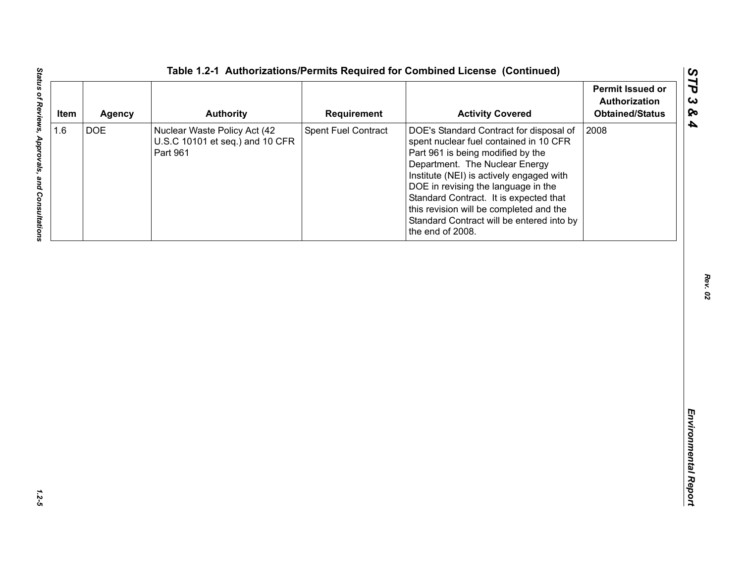| <b>DOE</b><br>Spent Fuel Contract<br>2008<br>Nuclear Waste Policy Act (42<br>DOE's Standard Contract for disposal of<br>U.S.C 10101 et seq.) and 10 CFR<br>spent nuclear fuel contained in 10 CFR<br>Part 961<br>Part 961 is being modified by the<br>Department. The Nuclear Energy<br>Institute (NEI) is actively engaged with | 1.6<br>DOE in revising the language in the |
|----------------------------------------------------------------------------------------------------------------------------------------------------------------------------------------------------------------------------------------------------------------------------------------------------------------------------------|--------------------------------------------|
| Standard Contract. It is expected that<br>this revision will be completed and the<br>Standard Contract will be entered into by<br>the end of 2008.                                                                                                                                                                               |                                            |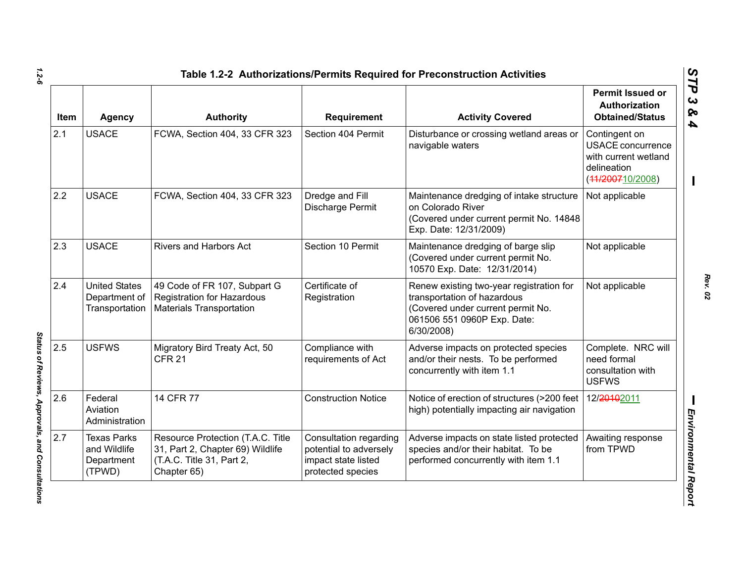| Item | <b>Agency</b>                                              | <b>Authority</b>                                                                                                  | <b>Requirement</b>                                                                           | <b>Activity Covered</b>                                                                                                                                   | <b>Permit Issued or</b><br><b>Authorization</b><br><b>Obtained/Status</b>                            |
|------|------------------------------------------------------------|-------------------------------------------------------------------------------------------------------------------|----------------------------------------------------------------------------------------------|-----------------------------------------------------------------------------------------------------------------------------------------------------------|------------------------------------------------------------------------------------------------------|
| 2.1  | <b>USACE</b>                                               | FCWA, Section 404, 33 CFR 323                                                                                     | Section 404 Permit                                                                           | Disturbance or crossing wetland areas or<br>navigable waters                                                                                              | Contingent on<br><b>USACE concurrence</b><br>with current wetland<br>delineation<br>(44/200710/2008) |
| 2.2  | <b>USACE</b>                                               | FCWA, Section 404, 33 CFR 323                                                                                     | Dredge and Fill<br>Discharge Permit                                                          | Maintenance dredging of intake structure<br>on Colorado River<br>(Covered under current permit No. 14848<br>Exp. Date: 12/31/2009)                        | Not applicable                                                                                       |
| 2.3  | <b>USACE</b>                                               | <b>Rivers and Harbors Act</b>                                                                                     | Section 10 Permit                                                                            | Maintenance dredging of barge slip<br>(Covered under current permit No.<br>10570 Exp. Date: 12/31/2014)                                                   | Not applicable                                                                                       |
| 2.4  | <b>United States</b><br>Department of<br>Transportation    | 49 Code of FR 107, Subpart G<br><b>Registration for Hazardous</b><br><b>Materials Transportation</b>              | Certificate of<br>Registration                                                               | Renew existing two-year registration for<br>transportation of hazardous<br>(Covered under current permit No.<br>061506 551 0960P Exp. Date:<br>6/30/2008) | Not applicable                                                                                       |
| 2.5  | <b>USFWS</b>                                               | Migratory Bird Treaty Act, 50<br><b>CFR 21</b>                                                                    | Compliance with<br>requirements of Act                                                       | Adverse impacts on protected species<br>and/or their nests. To be performed<br>concurrently with item 1.1                                                 | Complete. NRC will<br>need formal<br>consultation with<br><b>USFWS</b>                               |
| 2.6  | Federal<br>Aviation<br>Administration                      | 14 CFR 77                                                                                                         | <b>Construction Notice</b>                                                                   | Notice of erection of structures (>200 feet<br>high) potentially impacting air navigation                                                                 | 12/20102011                                                                                          |
| 2.7  | <b>Texas Parks</b><br>and Wildlife<br>Department<br>(TPWD) | Resource Protection (T.A.C. Title<br>31, Part 2, Chapter 69) Wildlife<br>(T.A.C. Title 31, Part 2,<br>Chapter 65) | Consultation regarding<br>potential to adversely<br>impact state listed<br>protected species | Adverse impacts on state listed protected<br>species and/or their habitat. To be<br>performed concurrently with item 1.1                                  | Awaiting response<br>from TPWD                                                                       |

*1.2-6*

Status of Reviews, Approvals, and Consultations *Status of Reviews, Approvals, and Consultations*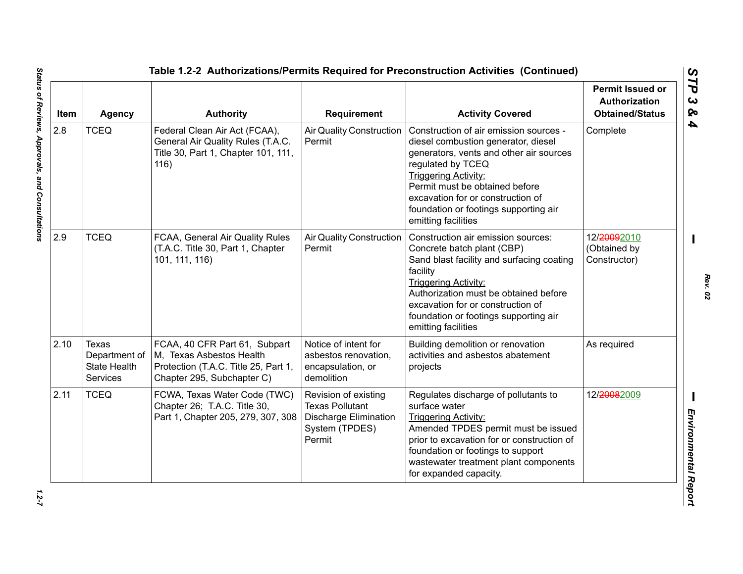| Item | <b>Agency</b>                                             | <b>Authority</b>                                                                                                                | <b>Requirement</b>                                                                                         | <b>Activity Covered</b>                                                                                                                                                                                                                                                                                             | <b>Permit Issued or</b><br>Authorization<br><b>Obtained/Status</b> |
|------|-----------------------------------------------------------|---------------------------------------------------------------------------------------------------------------------------------|------------------------------------------------------------------------------------------------------------|---------------------------------------------------------------------------------------------------------------------------------------------------------------------------------------------------------------------------------------------------------------------------------------------------------------------|--------------------------------------------------------------------|
| 2.8  | <b>TCEQ</b>                                               | Federal Clean Air Act (FCAA),<br>General Air Quality Rules (T.A.C.<br>Title 30, Part 1, Chapter 101, 111,<br>116)               | <b>Air Quality Construction</b><br>Permit                                                                  | Construction of air emission sources -<br>diesel combustion generator, diesel<br>generators, vents and other air sources<br>regulated by TCEQ<br><b>Triggering Activity:</b><br>Permit must be obtained before<br>excavation for or construction of<br>foundation or footings supporting air<br>emitting facilities | Complete                                                           |
| 2.9  | <b>TCEQ</b>                                               | FCAA, General Air Quality Rules<br>(T.A.C. Title 30, Part 1, Chapter<br>101, 111, 116)                                          | <b>Air Quality Construction</b><br>Permit                                                                  | Construction air emission sources:<br>Concrete batch plant (CBP)<br>Sand blast facility and surfacing coating<br>facility<br><b>Triggering Activity:</b><br>Authorization must be obtained before<br>excavation for or construction of<br>foundation or footings supporting air<br>emitting facilities              | 12/20092010<br>(Obtained by<br>Constructor)                        |
| 2.10 | Texas<br>Department of<br><b>State Health</b><br>Services | FCAA, 40 CFR Part 61, Subpart<br>M, Texas Asbestos Health<br>Protection (T.A.C. Title 25, Part 1,<br>Chapter 295, Subchapter C) | Notice of intent for<br>asbestos renovation,<br>encapsulation, or<br>demolition                            | Building demolition or renovation<br>activities and asbestos abatement<br>projects                                                                                                                                                                                                                                  | As required                                                        |
| 2.11 | <b>TCEQ</b>                                               | FCWA, Texas Water Code (TWC)<br>Chapter 26; T.A.C. Title 30,<br>Part 1, Chapter 205, 279, 307, 308                              | Revision of existing<br><b>Texas Pollutant</b><br><b>Discharge Elimination</b><br>System (TPDES)<br>Permit | Regulates discharge of pollutants to<br>surface water<br><b>Triggering Activity:</b><br>Amended TPDES permit must be issued<br>prior to excavation for or construction of<br>foundation or footings to support<br>wastewater treatment plant components<br>for expanded capacity.                                   | 12/20082009                                                        |

 $1.2 - 7$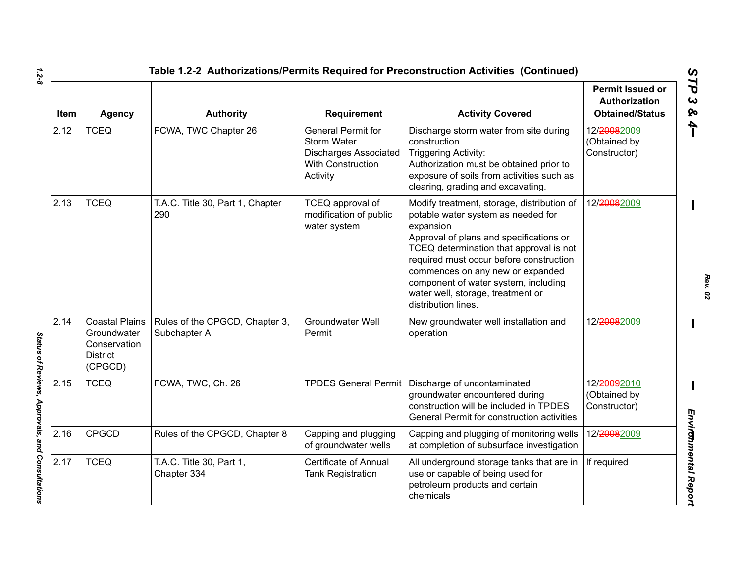| <b>Item</b> | <b>Agency</b>                                                                      | <b>Authority</b>                               | Requirement                                                                                                      | <b>Activity Covered</b>                                                                                                                                                                                                                                                                                                                                                | <b>Permit Issued or</b><br>Authorization<br><b>Obtained/Status</b> |
|-------------|------------------------------------------------------------------------------------|------------------------------------------------|------------------------------------------------------------------------------------------------------------------|------------------------------------------------------------------------------------------------------------------------------------------------------------------------------------------------------------------------------------------------------------------------------------------------------------------------------------------------------------------------|--------------------------------------------------------------------|
| 2.12        | <b>TCEQ</b>                                                                        | FCWA, TWC Chapter 26                           | <b>General Permit for</b><br><b>Storm Water</b><br><b>Discharges Associated</b><br>With Construction<br>Activity | Discharge storm water from site during<br>construction<br><b>Triggering Activity:</b><br>Authorization must be obtained prior to<br>exposure of soils from activities such as<br>clearing, grading and excavating.                                                                                                                                                     | 12/20082009<br>(Obtained by<br>Constructor)                        |
| 2.13        | <b>TCEQ</b>                                                                        | T.A.C. Title 30, Part 1, Chapter<br>290        | TCEQ approval of<br>modification of public<br>water system                                                       | Modify treatment, storage, distribution of<br>potable water system as needed for<br>expansion<br>Approval of plans and specifications or<br>TCEQ determination that approval is not<br>required must occur before construction<br>commences on any new or expanded<br>component of water system, including<br>water well, storage, treatment or<br>distribution lines. | 12/20082009                                                        |
| 2.14        | <b>Coastal Plains</b><br>Groundwater<br>Conservation<br><b>District</b><br>(CPGCD) | Rules of the CPGCD, Chapter 3,<br>Subchapter A | Groundwater Well<br>Permit                                                                                       | New groundwater well installation and<br>operation                                                                                                                                                                                                                                                                                                                     | 12/20082009                                                        |
| 2.15        | <b>TCEQ</b>                                                                        | FCWA, TWC, Ch. 26                              | <b>TPDES General Permit</b>                                                                                      | Discharge of uncontaminated<br>groundwater encountered during<br>construction will be included in TPDES<br>General Permit for construction activities                                                                                                                                                                                                                  | 12/20092010<br>(Obtained by<br>Constructor)                        |
| 2.16        | <b>CPGCD</b>                                                                       | Rules of the CPGCD, Chapter 8                  | Capping and plugging<br>of groundwater wells                                                                     | Capping and plugging of monitoring wells<br>at completion of subsurface investigation                                                                                                                                                                                                                                                                                  | 12/20082009                                                        |
| 2.17        | <b>TCEQ</b>                                                                        | T.A.C. Title 30, Part 1,<br>Chapter 334        | <b>Certificate of Annual</b><br><b>Tank Registration</b>                                                         | All underground storage tanks that are in<br>use or capable of being used for<br>petroleum products and certain<br>chemicals                                                                                                                                                                                                                                           | If required                                                        |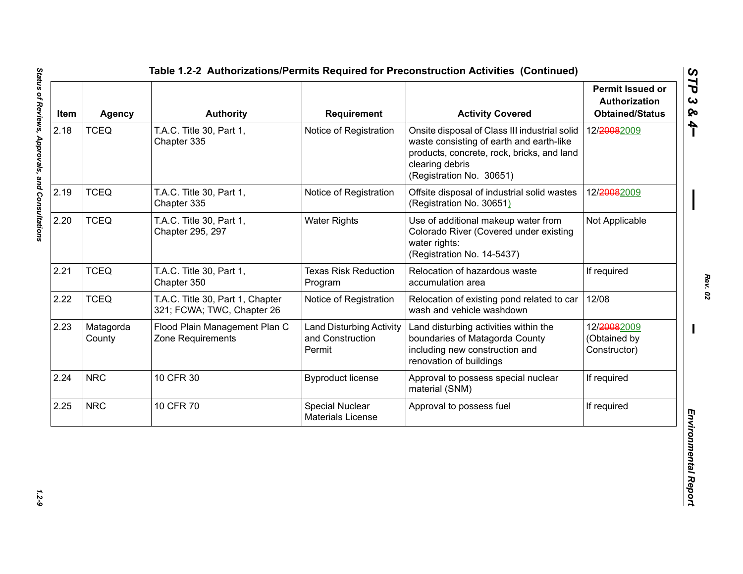| Item | Agency              | <b>Authority</b>                                               | Requirement                                                   | <b>Activity Covered</b>                                                                                                                                                                | <b>Permit Issued or</b><br>Authorization<br><b>Obtained/Status</b> |
|------|---------------------|----------------------------------------------------------------|---------------------------------------------------------------|----------------------------------------------------------------------------------------------------------------------------------------------------------------------------------------|--------------------------------------------------------------------|
| 2.18 | <b>TCEQ</b>         | T.A.C. Title 30, Part 1,<br>Chapter 335                        | Notice of Registration                                        | Onsite disposal of Class III industrial solid<br>waste consisting of earth and earth-like<br>products, concrete, rock, bricks, and land<br>clearing debris<br>(Registration No. 30651) | 12/20082009                                                        |
| 2.19 | <b>TCEQ</b>         | T.A.C. Title 30, Part 1,<br>Chapter 335                        | Notice of Registration                                        | Offsite disposal of industrial solid wastes<br>(Registration No. 30651)                                                                                                                | 12/20082009                                                        |
| 2.20 | <b>TCEQ</b>         | T.A.C. Title 30, Part 1,<br>Chapter 295, 297                   | <b>Water Rights</b>                                           | Use of additional makeup water from<br>Colorado River (Covered under existing<br>water rights:<br>(Registration No. 14-5437)                                                           | Not Applicable                                                     |
| 2.21 | <b>TCEQ</b>         | T.A.C. Title 30, Part 1,<br>Chapter 350                        | <b>Texas Risk Reduction</b><br>Program                        | Relocation of hazardous waste<br>accumulation area                                                                                                                                     | If required                                                        |
| 2.22 | <b>TCEQ</b>         | T.A.C. Title 30, Part 1, Chapter<br>321; FCWA; TWC, Chapter 26 | Notice of Registration                                        | Relocation of existing pond related to car<br>wash and vehicle washdown                                                                                                                | 12/08                                                              |
| 2.23 | Matagorda<br>County | Flood Plain Management Plan C<br>Zone Requirements             | <b>Land Disturbing Activity</b><br>and Construction<br>Permit | Land disturbing activities within the<br>boundaries of Matagorda County<br>including new construction and<br>renovation of buildings                                                   | 12/20082009<br>(Obtained by<br>Constructor)                        |
| 2.24 | <b>NRC</b>          | 10 CFR 30                                                      | <b>Byproduct license</b>                                      | Approval to possess special nuclear<br>material (SNM)                                                                                                                                  | If required                                                        |
| 2.25 | <b>NRC</b>          | 10 CFR 70                                                      | Special Nuclear<br><b>Materials License</b>                   | Approval to possess fuel                                                                                                                                                               | If required                                                        |

 $1.2 - 9$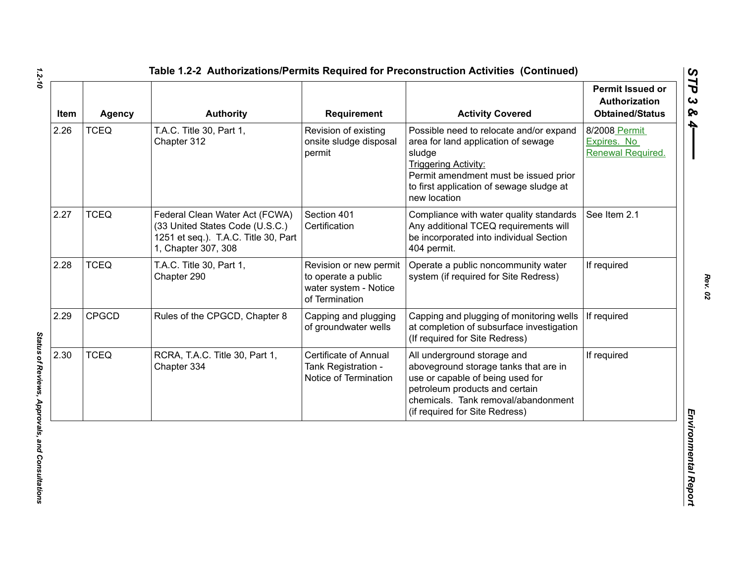| Item | <b>Agency</b> | <b>Authority</b>                                                                                                                 | Requirement                                                                              | <b>Activity Covered</b>                                                                                                                                                                                                      | Permit Issued or<br><b>Authorization</b><br><b>Obtained/Status</b> |
|------|---------------|----------------------------------------------------------------------------------------------------------------------------------|------------------------------------------------------------------------------------------|------------------------------------------------------------------------------------------------------------------------------------------------------------------------------------------------------------------------------|--------------------------------------------------------------------|
| 2.26 | <b>TCEQ</b>   | T.A.C. Title 30, Part 1,<br>Chapter 312                                                                                          | Revision of existing<br>onsite sludge disposal<br>permit                                 | Possible need to relocate and/or expand<br>area for land application of sewage<br>sludge<br><b>Triggering Activity:</b><br>Permit amendment must be issued prior<br>to first application of sewage sludge at<br>new location | 8/2008 Permit<br>Expires. No<br>Renewal Required.                  |
| 2.27 | <b>TCEQ</b>   | Federal Clean Water Act (FCWA)<br>(33 United States Code (U.S.C.)<br>1251 et seq.). T.A.C. Title 30, Part<br>1, Chapter 307, 308 | Section 401<br>Certification                                                             | Compliance with water quality standards<br>Any additional TCEQ requirements will<br>be incorporated into individual Section<br>404 permit.                                                                                   | See Item 2.1                                                       |
| 2.28 | <b>TCEQ</b>   | T.A.C. Title 30, Part 1,<br>Chapter 290                                                                                          | Revision or new permit<br>to operate a public<br>water system - Notice<br>of Termination | Operate a public noncommunity water<br>system (if required for Site Redress)                                                                                                                                                 | If required                                                        |
| 2.29 | <b>CPGCD</b>  | Rules of the CPGCD, Chapter 8                                                                                                    | Capping and plugging<br>of groundwater wells                                             | Capping and plugging of monitoring wells<br>at completion of subsurface investigation<br>(If required for Site Redress)                                                                                                      | If required                                                        |
| 2.30 | <b>TCEQ</b>   | RCRA, T.A.C. Title 30, Part 1,<br>Chapter 334                                                                                    | Certificate of Annual<br>Tank Registration -<br>Notice of Termination                    | All underground storage and<br>aboveground storage tanks that are in<br>use or capable of being used for<br>petroleum products and certain<br>chemicals. Tank removal/abandonment<br>(if required for Site Redress)          | If required                                                        |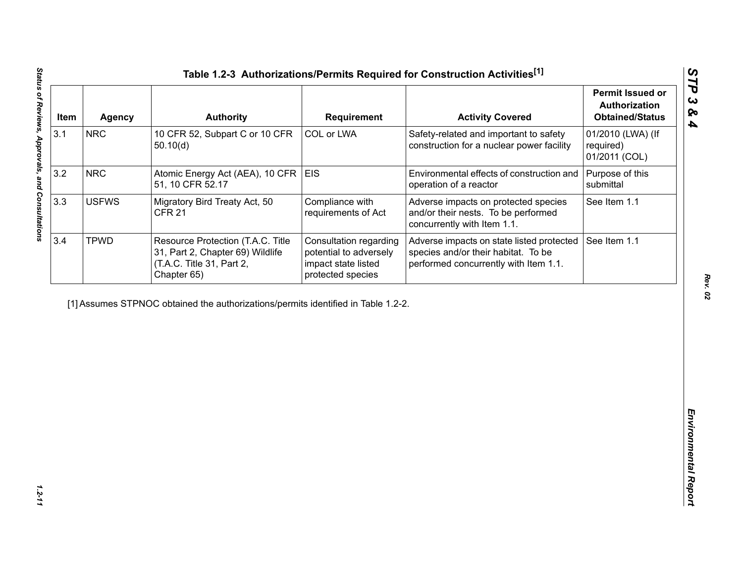| Item | <b>Agency</b> | <b>Authority</b>                                                                                                  | <b>Requirement</b>                                                                           | <b>Activity Covered</b>                                                                                                   | <b>Permit Issued or</b><br><b>Authorization</b><br><b>Obtained/Status</b> |
|------|---------------|-------------------------------------------------------------------------------------------------------------------|----------------------------------------------------------------------------------------------|---------------------------------------------------------------------------------------------------------------------------|---------------------------------------------------------------------------|
| 3.1  | <b>NRC</b>    | 10 CFR 52, Subpart C or 10 CFR<br>50.10(d)                                                                        | COL or LWA                                                                                   | Safety-related and important to safety<br>construction for a nuclear power facility                                       | 01/2010 (LWA) (If<br>required)<br>01/2011 (COL)                           |
| 3.2  | <b>NRC</b>    | Atomic Energy Act (AEA), 10 CFR   EIS<br>51, 10 CFR 52.17                                                         |                                                                                              | Environmental effects of construction and<br>operation of a reactor                                                       | Purpose of this<br>submittal                                              |
| 3.3  | <b>USFWS</b>  | Migratory Bird Treaty Act, 50<br><b>CFR 21</b>                                                                    | Compliance with<br>requirements of Act                                                       | Adverse impacts on protected species<br>and/or their nests. To be performed<br>concurrently with Item 1.1.                | See Item 1.1                                                              |
| 3.4  | <b>TPWD</b>   | Resource Protection (T.A.C. Title<br>31, Part 2, Chapter 69) Wildlife<br>(T.A.C. Title 31, Part 2,<br>Chapter 65) | Consultation regarding<br>potential to adversely<br>impact state listed<br>protected species | Adverse impacts on state listed protected<br>species and/or their habitat. To be<br>performed concurrently with Item 1.1. | See Item 1.1                                                              |
|      |               | [1] Assumes STPNOC obtained the authorizations/permits identified in Table 1.2-2.                                 |                                                                                              |                                                                                                                           |                                                                           |
|      |               |                                                                                                                   |                                                                                              |                                                                                                                           |                                                                           |
|      |               |                                                                                                                   |                                                                                              |                                                                                                                           |                                                                           |
|      |               |                                                                                                                   |                                                                                              |                                                                                                                           |                                                                           |
|      |               |                                                                                                                   |                                                                                              |                                                                                                                           |                                                                           |
|      |               |                                                                                                                   |                                                                                              |                                                                                                                           |                                                                           |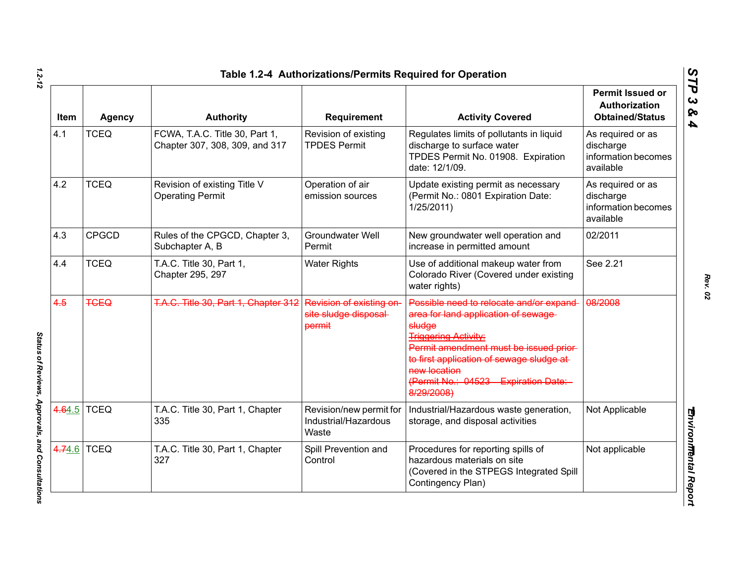| Item   | <b>Agency</b> | <b>Authority</b>                                                 | <b>Requirement</b>                                         | <b>Activity Covered</b>                                                                                                                                                                                                                                                                         | <b>Permit Issued or</b><br>Authorization<br><b>Obtained/Status</b> |
|--------|---------------|------------------------------------------------------------------|------------------------------------------------------------|-------------------------------------------------------------------------------------------------------------------------------------------------------------------------------------------------------------------------------------------------------------------------------------------------|--------------------------------------------------------------------|
| 4.1    | <b>TCEQ</b>   | FCWA, T.A.C. Title 30, Part 1,<br>Chapter 307, 308, 309, and 317 | Revision of existing<br><b>TPDES Permit</b>                | Regulates limits of pollutants in liquid<br>discharge to surface water<br>TPDES Permit No. 01908. Expiration<br>date: 12/1/09.                                                                                                                                                                  | As required or as<br>discharge<br>information becomes<br>available |
| 4.2    | <b>TCEQ</b>   | Revision of existing Title V<br><b>Operating Permit</b>          | Operation of air<br>emission sources                       | Update existing permit as necessary<br>(Permit No.: 0801 Expiration Date:<br>1/25/2011                                                                                                                                                                                                          | As required or as<br>discharge<br>information becomes<br>available |
| 4.3    | <b>CPGCD</b>  | Rules of the CPGCD, Chapter 3,<br>Subchapter A, B                | <b>Groundwater Well</b><br>Permit                          | New groundwater well operation and<br>increase in permitted amount                                                                                                                                                                                                                              | 02/2011                                                            |
| 4.4    | <b>TCEQ</b>   | T.A.C. Title 30, Part 1,<br>Chapter 295, 297                     | <b>Water Rights</b>                                        | Use of additional makeup water from<br>Colorado River (Covered under existing<br>water rights)                                                                                                                                                                                                  | See 2.21                                                           |
| 4.5    | <b>TGEQ</b>   | T.A.C. Title 30, Part 1, Chapter 312                             | Revision of existing on<br>site sludge disposal-<br>permit | Possible need to relocate and/or expand-<br>area for land application of sewage-<br>sludge<br><b>Triggering Activity:</b><br>Permit amendment must be issued prior-<br>to first application of sewage sludge at-<br>new location<br>(Permit No.: 04523<br><b>Expiration Date:</b><br>8/29/2008) | 08/2008                                                            |
| 4.64.5 | <b>TCEQ</b>   | T.A.C. Title 30, Part 1, Chapter<br>335                          | Revision/new permit for<br>Industrial/Hazardous<br>Waste   | Industrial/Hazardous waste generation,<br>storage, and disposal activities                                                                                                                                                                                                                      | Not Applicable                                                     |
| 4.74.6 | <b>TCEQ</b>   | T.A.C. Title 30, Part 1, Chapter<br>327                          | Spill Prevention and<br>Control                            | Procedures for reporting spills of<br>hazardous materials on site<br>(Covered in the STPEGS Integrated Spill<br>Contingency Plan)                                                                                                                                                               | Not applicable                                                     |

*1.2-12*

*STP 3 & 4*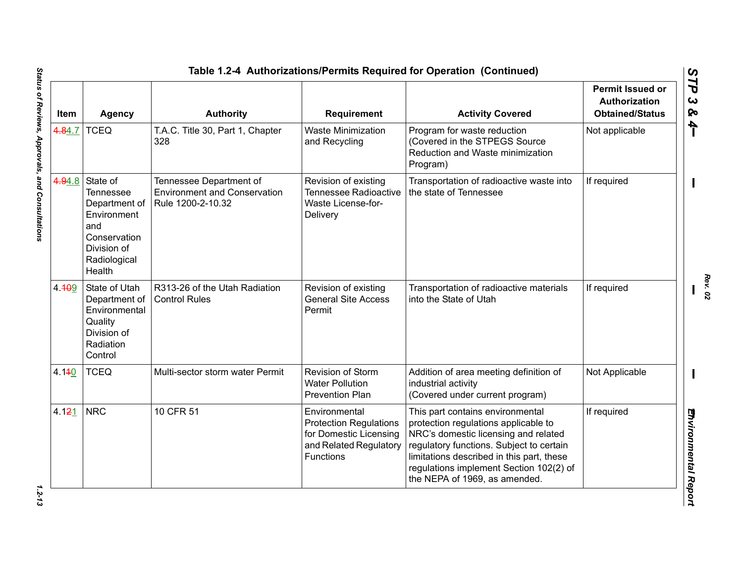|        |                                                                                                                              |                                                                                     |                                                                                                                 | Table 1.2-4 Authorizations/Permits Required for Operation (Continued)                                                                                                                                                                                                                 |                                                                    |
|--------|------------------------------------------------------------------------------------------------------------------------------|-------------------------------------------------------------------------------------|-----------------------------------------------------------------------------------------------------------------|---------------------------------------------------------------------------------------------------------------------------------------------------------------------------------------------------------------------------------------------------------------------------------------|--------------------------------------------------------------------|
| Item   | <b>Agency</b>                                                                                                                | <b>Authority</b>                                                                    | Requirement                                                                                                     | <b>Activity Covered</b>                                                                                                                                                                                                                                                               | <b>Permit Issued or</b><br>Authorization<br><b>Obtained/Status</b> |
| 4.84.7 | <b>TCEQ</b>                                                                                                                  | T.A.C. Title 30, Part 1, Chapter<br>328                                             | <b>Waste Minimization</b><br>and Recycling                                                                      | Program for waste reduction<br>(Covered in the STPEGS Source<br>Reduction and Waste minimization<br>Program)                                                                                                                                                                          | Not applicable                                                     |
| 4.94.8 | State of<br><b>Tennessee</b><br>Department of<br>Environment<br>and<br>Conservation<br>Division of<br>Radiological<br>Health | Tennessee Department of<br><b>Environment and Conservation</b><br>Rule 1200-2-10.32 | Revision of existing<br><b>Tennessee Radioactive</b><br><b>Waste License-for-</b><br>Delivery                   | Transportation of radioactive waste into<br>the state of Tennessee                                                                                                                                                                                                                    | If required                                                        |
| 4.409  | State of Utah<br>Department of<br>Environmental<br>Quality<br>Division of<br>Radiation<br>Control                            | R313-26 of the Utah Radiation<br><b>Control Rules</b>                               | Revision of existing<br><b>General Site Access</b><br>Permit                                                    | Transportation of radioactive materials<br>into the State of Utah                                                                                                                                                                                                                     | If required                                                        |
| 4.140  | <b>TCEQ</b>                                                                                                                  | Multi-sector storm water Permit                                                     | Revision of Storm<br><b>Water Pollution</b><br><b>Prevention Plan</b>                                           | Addition of area meeting definition of<br>industrial activity<br>(Covered under current program)                                                                                                                                                                                      | Not Applicable                                                     |
| 4.121  | <b>NRC</b>                                                                                                                   | 10 CFR 51                                                                           | Environmental<br><b>Protection Regulations</b><br>for Domestic Licensing<br>and Related Regulatory<br>Functions | This part contains environmental<br>protection regulations applicable to<br>NRC's domestic licensing and related<br>regulatory functions. Subject to certain<br>limitations described in this part, these<br>regulations implement Section 102(2) of<br>the NEPA of 1969, as amended. | If required                                                        |

 $1.2 - 13$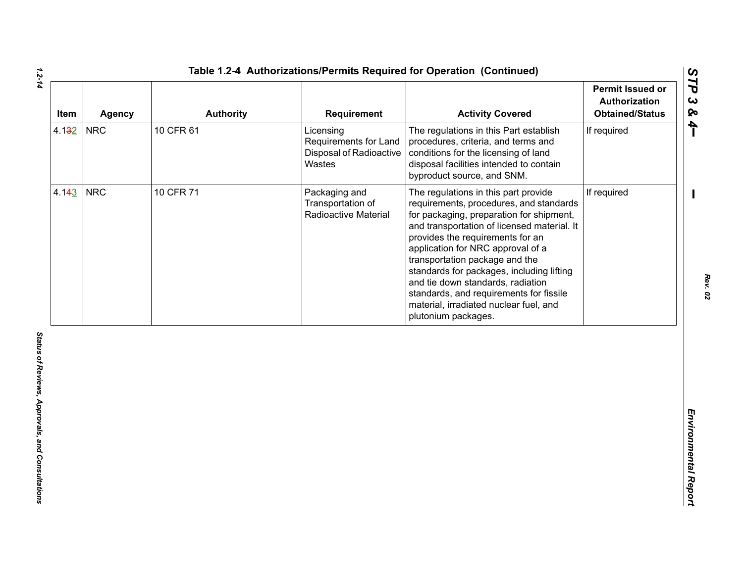| Item  | <b>Agency</b> | <b>Authority</b> | Requirement                                                             | <b>Activity Covered</b>                                                                                                                                                                                                                                                                                                                                                                                                                                                             | <b>Permit Issued or</b><br>Authorization<br><b>Obtained/Status</b> |
|-------|---------------|------------------|-------------------------------------------------------------------------|-------------------------------------------------------------------------------------------------------------------------------------------------------------------------------------------------------------------------------------------------------------------------------------------------------------------------------------------------------------------------------------------------------------------------------------------------------------------------------------|--------------------------------------------------------------------|
| 4.132 | <b>NRC</b>    | 10 CFR 61        | Licensing<br>Requirements for Land<br>Disposal of Radioactive<br>Wastes | The regulations in this Part establish<br>procedures, criteria, and terms and<br>conditions for the licensing of land<br>disposal facilities intended to contain<br>byproduct source, and SNM.                                                                                                                                                                                                                                                                                      | If required                                                        |
| 4.143 | <b>NRC</b>    | 10 CFR 71        | Packaging and<br>Transportation of<br>Radioactive Material              | The regulations in this part provide<br>requirements, procedures, and standards<br>for packaging, preparation for shipment,<br>and transportation of licensed material. It<br>provides the requirements for an<br>application for NRC approval of a<br>transportation package and the<br>standards for packages, including lifting<br>and tie down standards, radiation<br>standards, and requirements for fissile<br>material, irradiated nuclear fuel, and<br>plutonium packages. | If required                                                        |
|       |               |                  |                                                                         |                                                                                                                                                                                                                                                                                                                                                                                                                                                                                     |                                                                    |
|       |               |                  |                                                                         |                                                                                                                                                                                                                                                                                                                                                                                                                                                                                     |                                                                    |

*1.2-14*